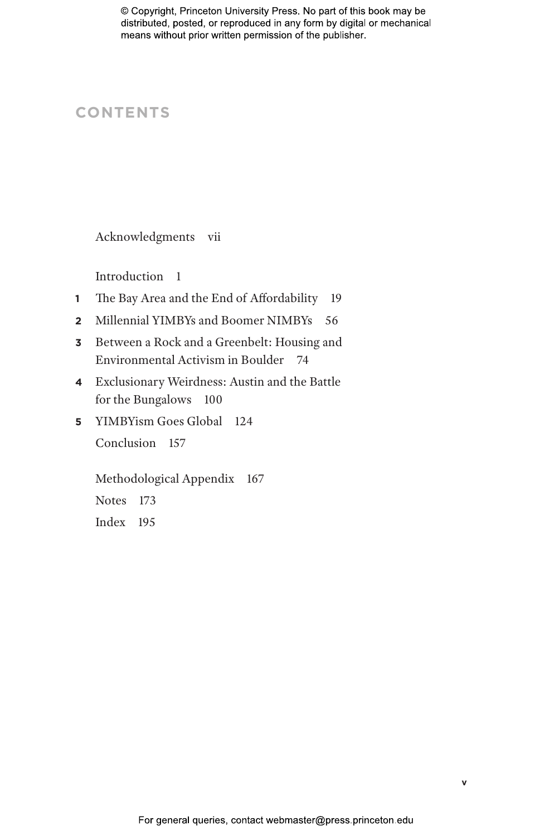# **CONTENTS**

Acknowledgments vii

Introduction 1

- **1** The Bay Area and the End of Affordability 19
- **2** Millennial YIMBYs and Boomer NIMBYs 56
- **3** Between a Rock and a Greenbelt: Housing and Environmental Activism in Boulder 74
- **4** Exclusionary Weirdness: Austin and the Battle for the Bungalows 100
- **5** YIMBYism Goes Global 124 Conclusion 157

Methodological Appendix 167 Notes 173 Index 195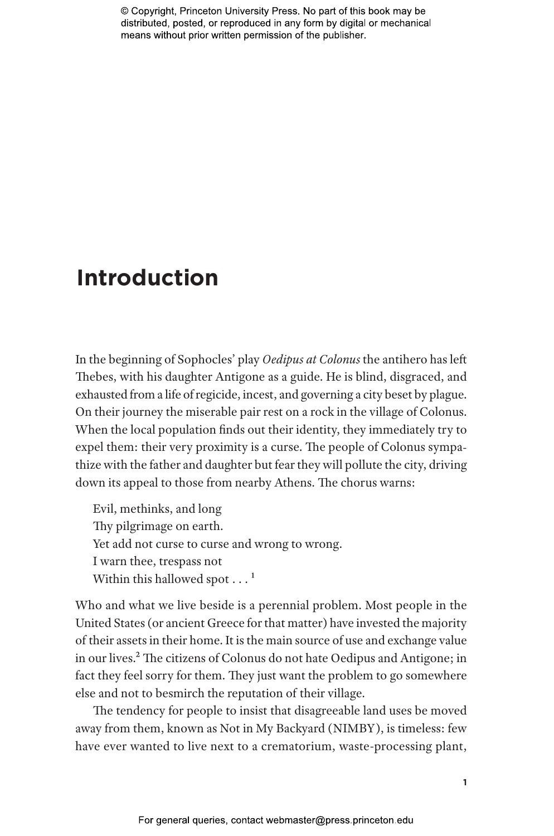# **Introduction**

In the beginning of Sophocles' play *Oedipus at Colonus* the antihero has left Thebes, with his daughter Antigone as a guide. He is blind, disgraced, and exhausted from a life of regicide, incest, and governing a city beset by plague. On their journey the miserable pair rest on a rock in the village of Colonus. When the local population finds out their identity, they immediately try to expel them: their very proximity is a curse. The people of Colonus sympathize with the father and daughter but fear they will pollute the city, driving down its appeal to those from nearby Athens. The chorus warns:

Evil, methinks, and long Thy pilgrimage on earth. Yet add not curse to curse and wrong to wrong. I warn thee, trespass not Within this hallowed spot  $\dots$ <sup>1</sup>

Who and what we live beside is a perennial problem. Most people in the United States (or ancient Greece for that matter) have invested the majority of their assets in their home. It is the main source of use and exchange value in our lives.2 The citizens of Colonus do not hate Oedipus and Antigone; in fact they feel sorry for them. They just want the problem to go somewhere else and not to besmirch the reputation of their village.

The tendency for people to insist that disagreeable land uses be moved away from them, known as Not in My Backyard (NIMBY), is timeless: few have ever wanted to live next to a crematorium, waste-processing plant,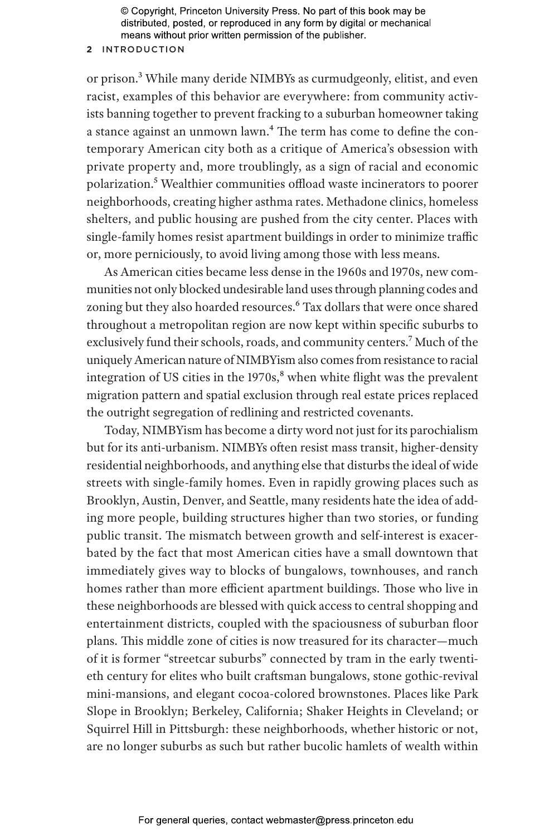### **2** Introduction

or prison.3 While many deride NIMBYs as curmudgeonly, elitist, and even racist, examples of this behavior are everywhere: from community activists banning together to prevent fracking to a suburban homeowner taking a stance against an unmown lawn.<sup>4</sup> The term has come to define the contemporary American city both as a critique of America's obsession with private property and, more troublingly, as a sign of racial and economic polarization.5 Wealthier communities offload waste incinerators to poorer neighborhoods, creating higher asthma rates. Methadone clinics, homeless shelters, and public housing are pushed from the city center. Places with single-family homes resist apartment buildings in order to minimize traffic or, more perniciously, to avoid living among those with less means.

As American cities became less dense in the 1960s and 1970s, new communities not only blocked undesirable land uses through planning codes and zoning but they also hoarded resources.<sup>6</sup> Tax dollars that were once shared throughout a metropolitan region are now kept within specific suburbs to exclusively fund their schools, roads, and community centers.<sup>7</sup> Much of the uniquely American nature of NIMBYism also comes from resistance to racial integration of US cities in the  $1970s$ ,<sup>8</sup> when white flight was the prevalent migration pattern and spatial exclusion through real estate prices replaced the outright segregation of redlining and restricted covenants.

Today, NIMBYism has become a dirty word not just for its parochialism but for its anti-urbanism. NIMBYs often resist mass transit, higher-density residential neighborhoods, and anything else that disturbs the ideal of wide streets with single-family homes. Even in rapidly growing places such as Brooklyn, Austin, Denver, and Seattle, many residents hate the idea of adding more people, building structures higher than two stories, or funding public transit. The mismatch between growth and self-interest is exacerbated by the fact that most American cities have a small downtown that immediately gives way to blocks of bungalows, townhouses, and ranch homes rather than more efficient apartment buildings. Those who live in these neighborhoods are blessed with quick access to central shopping and entertainment districts, coupled with the spaciousness of suburban floor plans. This middle zone of cities is now treasured for its character—much of it is former "streetcar suburbs" connected by tram in the early twentieth century for elites who built craftsman bungalows, stone gothic-revival mini-mansions, and elegant cocoa-colored brownstones. Places like Park Slope in Brooklyn; Berkeley, California; Shaker Heights in Cleveland; or Squirrel Hill in Pittsburgh: these neighborhoods, whether historic or not, are no longer suburbs as such but rather bucolic hamlets of wealth within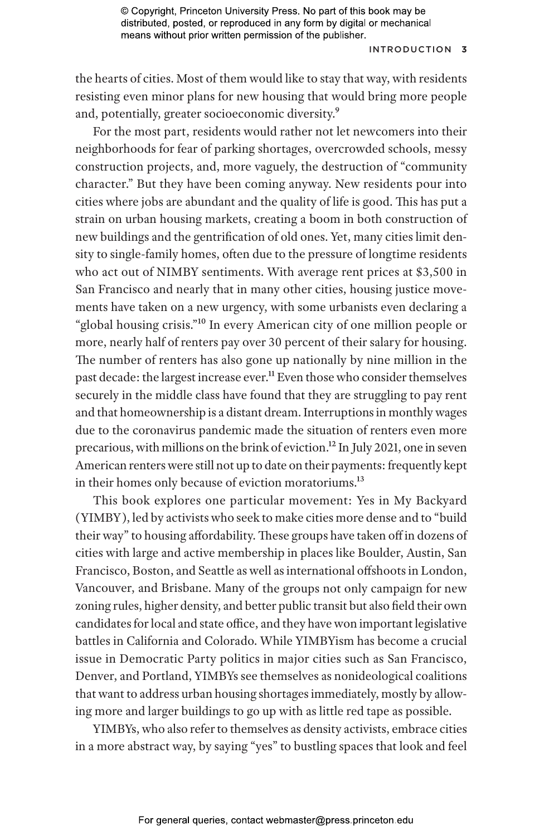### Introduction **3**

the hearts of cities. Most of them would like to stay that way, with residents resisting even minor plans for new housing that would bring more people and, potentially, greater socioeconomic diversity.9

For the most part, residents would rather not let newcomers into their neighborhoods for fear of parking shortages, overcrowded schools, messy construction projects, and, more vaguely, the destruction of "community character." But they have been coming anyway. New residents pour into cities where jobs are abundant and the quality of life is good. This has put a strain on urban housing markets, creating a boom in both construction of new buildings and the gentrification of old ones. Yet, many cities limit density to single-family homes, often due to the pressure of longtime residents who act out of NIMBY sentiments. With average rent prices at \$3,500 in San Francisco and nearly that in many other cities, housing justice movements have taken on a new urgency, with some urbanists even declaring a "global housing crisis."10 In every American city of one million people or more, nearly half of renters pay over 30 percent of their salary for housing. The number of renters has also gone up nationally by nine million in the past decade: the largest increase ever.<sup>11</sup> Even those who consider themselves securely in the middle class have found that they are struggling to pay rent and that homeownership is a distant dream. Interruptions in monthly wages due to the coronavirus pandemic made the situation of renters even more precarious, with millions on the brink of eviction.12 In July 2021, one in seven American renters were still not up to date on their payments: frequently kept in their homes only because of eviction moratoriums.<sup>13</sup>

This book explores one particular movement: Yes in My Backyard (YIMBY), led by activists who seek to make cities more dense and to "build their way" to housing affordability. These groups have taken off in dozens of cities with large and active membership in places like Boulder, Austin, San Francisco, Boston, and Seattle as well as international offshoots in London, Vancouver, and Brisbane. Many of the groups not only campaign for new zoning rules, higher density, and better public transit but also field their own candidates for local and state office, and they have won important legislative battles in California and Colorado. While YIMBYism has become a crucial issue in Democratic Party politics in major cities such as San Francisco, Denver, and Portland, YIMBYs see themselves as nonideological coalitions that want to address urban housing shortages immediately, mostly by allowing more and larger buildings to go up with as little red tape as possible.

YIMBYs, who also refer to themselves as density activists, embrace cities in a more abstract way, by saying "yes" to bustling spaces that look and feel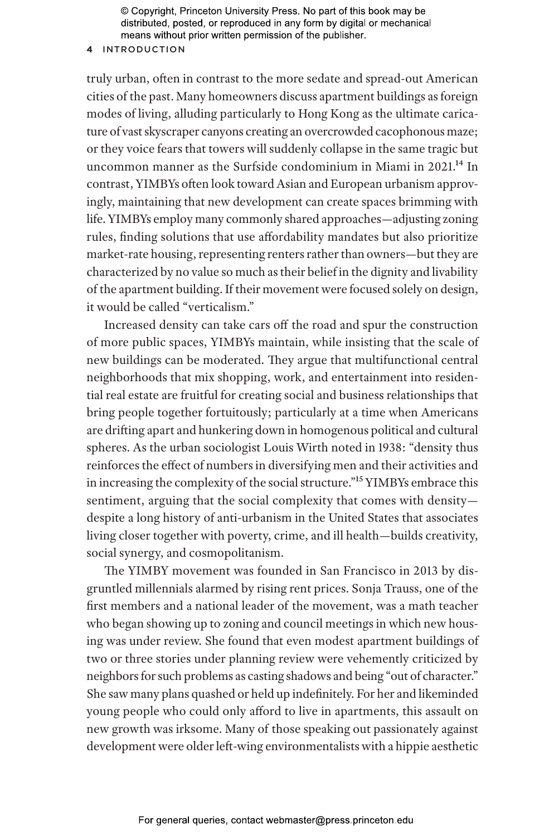#### **4** Introduction

truly urban, often in contrast to the more sedate and spread-out American cities of the past. Many homeowners discuss apartment buildings as foreign modes of living, alluding particularly to Hong Kong as the ultimate caricature of vast skyscraper canyons creating an overcrowded cacophonous maze; or they voice fears that towers will suddenly collapse in the same tragic but uncommon manner as the Surfside condominium in Miami in 2021.<sup>14</sup> In contrast, YIMBYs often look toward Asian and European urbanism approvingly, maintaining that new development can create spaces brimming with life. YIMBYs employ many commonly shared approaches—adjusting zoning rules, finding solutions that use affordability mandates but also prioritize market-rate housing, representing renters rather than owners—but they are characterized by no value so much as their belief in the dignity and livability of the apartment building. If their movement were focused solely on design, it would be called "verticalism."

Increased density can take cars off the road and spur the construction of more public spaces, YIMBYs maintain, while insisting that the scale of new buildings can be moderated. They argue that multifunctional central neighborhoods that mix shopping, work, and entertainment into residential real estate are fruitful for creating social and business relationships that bring people together fortuitously; particularly at a time when Americans are drifting apart and hunkering down in homogenous political and cultural spheres. As the urban sociologist Louis Wirth noted in 1938: "density thus reinforces the effect of numbers in diversifying men and their activities and in increasing the complexity of the social structure."15 YIMBYs embrace this sentiment, arguing that the social complexity that comes with density despite a long history of anti-urbanism in the United States that associates living closer together with poverty, crime, and ill health—builds creativity, social synergy, and cosmopolitanism.

The YIMBY movement was founded in San Francisco in 2013 by disgruntled millennials alarmed by rising rent prices. Sonja Trauss, one of the first members and a national leader of the movement, was a math teacher who began showing up to zoning and council meetings in which new housing was under review. She found that even modest apartment buildings of two or three stories under planning review were vehemently criticized by neighbors for such problems as casting shadows and being "out of character." She saw many plans quashed or held up indefinitely. For her and likeminded young people who could only afford to live in apartments, this assault on new growth was irksome. Many of those speaking out passionately against development were older left-wing environmentalists with a hippie aesthetic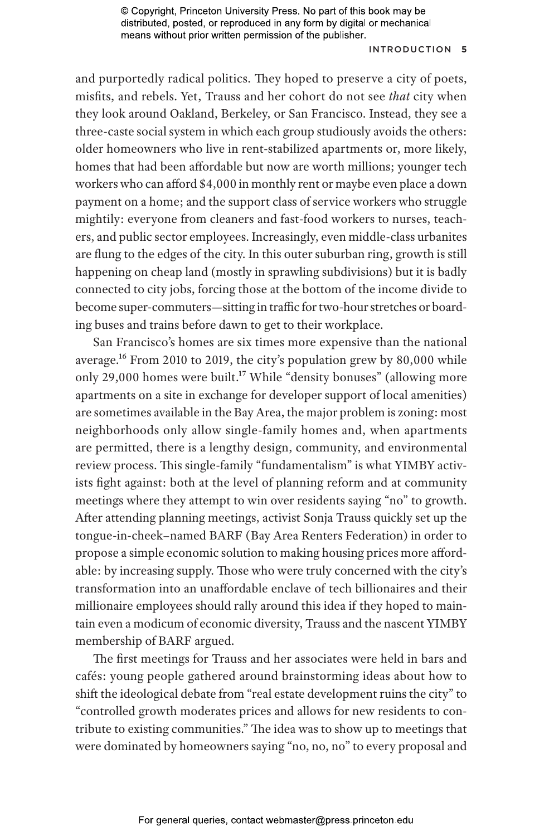## Introduction **5**

and purportedly radical politics. They hoped to preserve a city of poets, misfits, and rebels. Yet, Trauss and her cohort do not see *that* city when they look around Oakland, Berkeley, or San Francisco. Instead, they see a three-caste social system in which each group studiously avoids the others: older homeowners who live in rent-stabilized apartments or, more likely, homes that had been affordable but now are worth millions; younger tech workers who can afford \$4,000 in monthly rent or maybe even place a down payment on a home; and the support class of service workers who struggle mightily: everyone from cleaners and fast-food workers to nurses, teachers, and public sector employees. Increasingly, even middle-class urbanites are flung to the edges of the city. In this outer suburban ring, growth is still happening on cheap land (mostly in sprawling subdivisions) but it is badly connected to city jobs, forcing those at the bottom of the income divide to become super-commuters—sitting in traffic for two-hour stretches or boarding buses and trains before dawn to get to their workplace.

San Francisco's homes are six times more expensive than the national average.16 From 2010 to 2019, the city's population grew by 80,000 while only 29,000 homes were built.<sup>17</sup> While "density bonuses" (allowing more apartments on a site in exchange for developer support of local amenities) are sometimes available in the Bay Area, the major problem is zoning: most neighborhoods only allow single-family homes and, when apartments are permitted, there is a lengthy design, community, and environmental review process. This single-family "fundamentalism" is what YIMBY activists fight against: both at the level of planning reform and at community meetings where they attempt to win over residents saying "no" to growth. After attending planning meetings, activist Sonja Trauss quickly set up the tongue-in-cheek–named BARF (Bay Area Renters Federation) in order to propose a simple economic solution to making housing prices more affordable: by increasing supply. Those who were truly concerned with the city's transformation into an unaffordable enclave of tech billionaires and their millionaire employees should rally around this idea if they hoped to maintain even a modicum of economic diversity, Trauss and the nascent YIMBY membership of BARF argued.

The first meetings for Trauss and her associates were held in bars and cafés: young people gathered around brainstorming ideas about how to shift the ideological debate from "real estate development ruins the city" to "controlled growth moderates prices and allows for new residents to contribute to existing communities." The idea was to show up to meetings that were dominated by homeowners saying "no, no, no" to every proposal and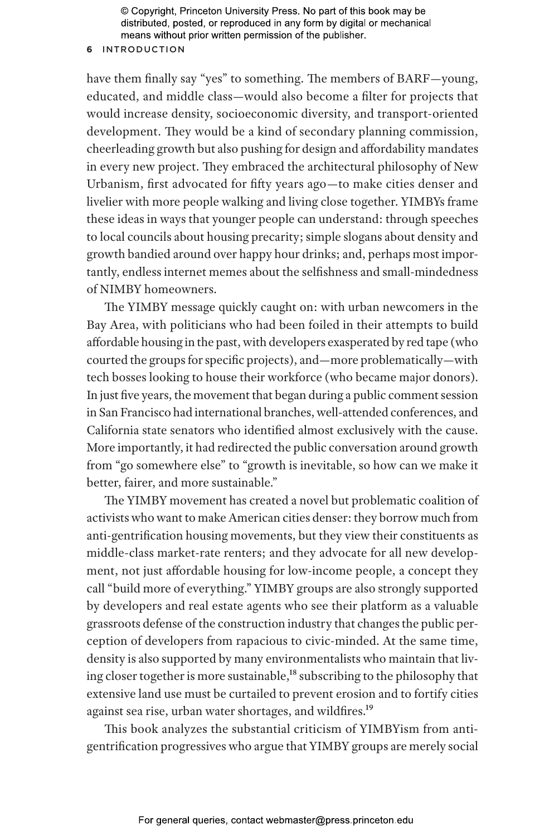#### **6** Introduction

have them finally say "yes" to something. The members of BARF—young, educated, and middle class—would also become a filter for projects that would increase density, socioeconomic diversity, and transport-oriented development. They would be a kind of secondary planning commission, cheerleading growth but also pushing for design and affordability mandates in every new project. They embraced the architectural philosophy of New Urbanism, first advocated for fifty years ago—to make cities denser and livelier with more people walking and living close together. YIMBYs frame these ideas in ways that younger people can understand: through speeches to local councils about housing precarity; simple slogans about density and growth bandied around over happy hour drinks; and, perhaps most importantly, endless internet memes about the selfishness and small-mindedness of NIMBY homeowners.

The YIMBY message quickly caught on: with urban newcomers in the Bay Area, with politicians who had been foiled in their attempts to build affordable housing in the past, with developers exasperated by red tape (who courted the groups for specific projects), and—more problematically—with tech bosses looking to house their workforce (who became major donors). In just five years, the movement that began during a public comment session in San Francisco had international branches, well-attended conferences, and California state senators who identified almost exclusively with the cause. More importantly, it had redirected the public conversation around growth from "go somewhere else" to "growth is inevitable, so how can we make it better, fairer, and more sustainable."

The YIMBY movement has created a novel but problematic coalition of activists who want to make American cities denser: they borrow much from anti-gentrification housing movements, but they view their constituents as middle-class market-rate renters; and they advocate for all new development, not just affordable housing for low-income people, a concept they call "build more of everything." YIMBY groups are also strongly supported by developers and real estate agents who see their platform as a valuable grassroots defense of the construction industry that changes the public perception of developers from rapacious to civic-minded. At the same time, density is also supported by many environmentalists who maintain that living closer together is more sustainable,<sup>18</sup> subscribing to the philosophy that extensive land use must be curtailed to prevent erosion and to fortify cities against sea rise, urban water shortages, and wildfires.19

This book analyzes the substantial criticism of YIMBYism from antigentrification progressives who argue that YIMBY groups are merely social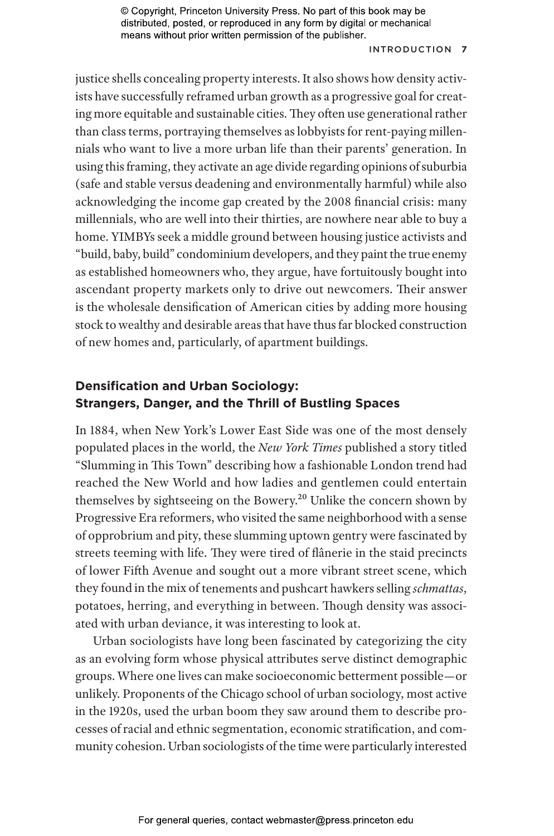#### Introduction **7**

justice shells concealing property interests. It also shows how density activists have successfully reframed urban growth as a progressive goal for creating more equitable and sustainable cities. They often use generational rather than class terms, portraying themselves as lobbyists for rent-paying millennials who want to live a more urban life than their parents' generation. In using this framing, they activate an age divide regarding opinions of suburbia (safe and stable versus deadening and environmentally harmful) while also acknowledging the income gap created by the 2008 financial crisis: many millennials, who are well into their thirties, are nowhere near able to buy a home. YIMBYs seek a middle ground between housing justice activists and "build, baby, build" condominium developers, and they paint the true enemy as established homeowners who, they argue, have fortuitously bought into ascendant property markets only to drive out newcomers. Their answer is the wholesale densification of American cities by adding more housing stock to wealthy and desirable areas that have thus far blocked construction of new homes and, particularly, of apartment buildings.

# **Densification and Urban Sociology: Strangers, Danger, and the Thrill of Bustling Spaces**

In 1884, when New York's Lower East Side was one of the most densely populated places in the world, the *New York Times* published a story titled "Slumming in This Town" describing how a fashionable London trend had reached the New World and how ladies and gentlemen could entertain themselves by sightseeing on the Bowery.20 Unlike the concern shown by Progressive Era reformers, who visited the same neighborhood with a sense of opprobrium and pity, these slumming uptown gentry were fascinated by streets teeming with life. They were tired of flânerie in the staid precincts of lower Fifth Avenue and sought out a more vibrant street scene, which they found in the mix of tenements and pushcart hawkers selling *schmattas*, potatoes, herring, and everything in between. Though density was associated with urban deviance, it was interesting to look at.

Urban sociologists have long been fascinated by categorizing the city as an evolving form whose physical attributes serve distinct demographic groups. Where one lives can make socioeconomic betterment possible—or unlikely. Proponents of the Chicago school of urban sociology, most active in the 1920s, used the urban boom they saw around them to describe processes of racial and ethnic segmentation, economic stratification, and community cohesion. Urban sociologists of the time were particularly interested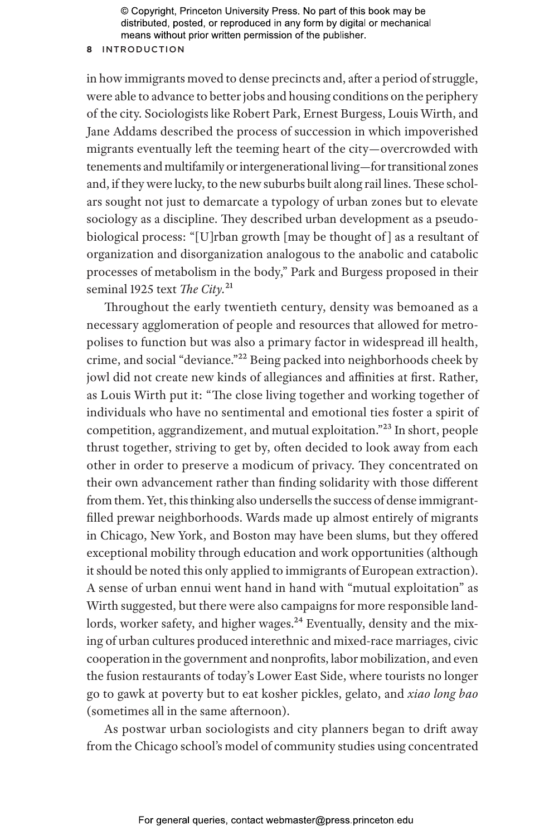#### **8** Introduction

in how immigrants moved to dense precincts and, after a period of struggle, were able to advance to better jobs and housing conditions on the periphery of the city. Sociologists like Robert Park, Ernest Burgess, Louis Wirth, and Jane Addams described the process of succession in which impoverished migrants eventually left the teeming heart of the city—overcrowded with tenements and multifamily or intergenerational living—for transitional zones and, if they were lucky, to the new suburbs built along rail lines. These scholars sought not just to demarcate a typology of urban zones but to elevate sociology as a discipline. They described urban development as a pseudobiological process: "[U]rban growth [may be thought of ] as a resultant of organization and disorganization analogous to the anabolic and catabolic processes of metabolism in the body," Park and Burgess proposed in their seminal 1925 text *The City.*21

Throughout the early twentieth century, density was bemoaned as a necessary agglomeration of people and resources that allowed for metropolises to function but was also a primary factor in widespread ill health, crime, and social "deviance."22 Being packed into neighborhoods cheek by jowl did not create new kinds of allegiances and affinities at first. Rather, as Louis Wirth put it: "The close living together and working together of individuals who have no sentimental and emotional ties foster a spirit of competition, aggrandizement, and mutual exploitation."23 In short, people thrust together, striving to get by, often decided to look away from each other in order to preserve a modicum of privacy. They concentrated on their own advancement rather than finding solidarity with those different from them. Yet, this thinking also undersells the success of dense immigrantfilled prewar neighborhoods. Wards made up almost entirely of migrants in Chicago, New York, and Boston may have been slums, but they offered exceptional mobility through education and work opportunities (although it should be noted this only applied to immigrants of European extraction). A sense of urban ennui went hand in hand with "mutual exploitation" as Wirth suggested, but there were also campaigns for more responsible landlords, worker safety, and higher wages.<sup>24</sup> Eventually, density and the mixing of urban cultures produced interethnic and mixed-race marriages, civic cooperation in the government and nonprofits, labor mobilization, and even the fusion restaurants of today's Lower East Side, where tourists no longer go to gawk at poverty but to eat kosher pickles, gelato, and *xiao long bao* (sometimes all in the same afternoon).

As postwar urban sociologists and city planners began to drift away from the Chicago school's model of community studies using concentrated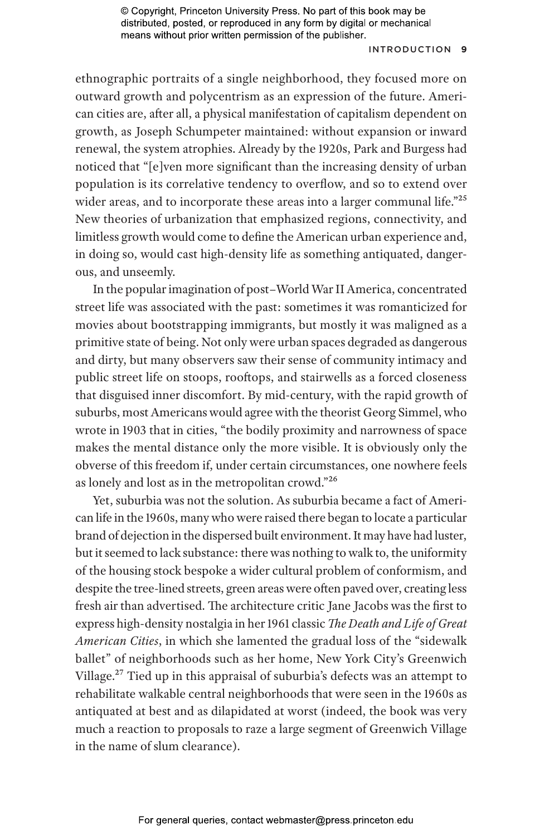#### Introduction **9**

ethnographic portraits of a single neighborhood, they focused more on outward growth and polycentrism as an expression of the future. American cities are, after all, a physical manifestation of capitalism dependent on growth, as Joseph Schumpeter maintained: without expansion or inward renewal, the system atrophies. Already by the 1920s, Park and Burgess had noticed that "[e]ven more significant than the increasing density of urban population is its correlative tendency to overflow, and so to extend over wider areas, and to incorporate these areas into a larger communal life."<sup>25</sup> New theories of urbanization that emphasized regions, connectivity, and limitless growth would come to define the American urban experience and, in doing so, would cast high-density life as something antiquated, dangerous, and unseemly.

In the popular imagination of post–World War II America, concentrated street life was associated with the past: sometimes it was romanticized for movies about bootstrapping immigrants, but mostly it was maligned as a primitive state of being. Not only were urban spaces degraded as dangerous and dirty, but many observers saw their sense of community intimacy and public street life on stoops, rooftops, and stairwells as a forced closeness that disguised inner discomfort. By mid-century, with the rapid growth of suburbs, most Americans would agree with the theorist Georg Simmel, who wrote in 1903 that in cities, "the bodily proximity and narrowness of space makes the mental distance only the more visible. It is obviously only the obverse of this freedom if, under certain circumstances, one nowhere feels as lonely and lost as in the metropolitan crowd."26

Yet, suburbia was not the solution. As suburbia became a fact of American life in the 1960s, many who were raised there began to locate a particular brand of dejection in the dispersed built environment. It may have had luster, but it seemed to lack substance: there was nothing to walk to, the uniformity of the housing stock bespoke a wider cultural problem of conformism, and despite the tree-lined streets, green areas were often paved over, creating less fresh air than advertised. The architecture critic Jane Jacobs was the first to express high-density nostalgia in her 1961 classic *The Death and Life of Great American Cities*, in which she lamented the gradual loss of the "sidewalk ballet" of neighborhoods such as her home, New York City's Greenwich Village.27 Tied up in this appraisal of suburbia's defects was an attempt to rehabilitate walkable central neighborhoods that were seen in the 1960s as antiquated at best and as dilapidated at worst (indeed, the book was very much a reaction to proposals to raze a large segment of Greenwich Village in the name of slum clearance).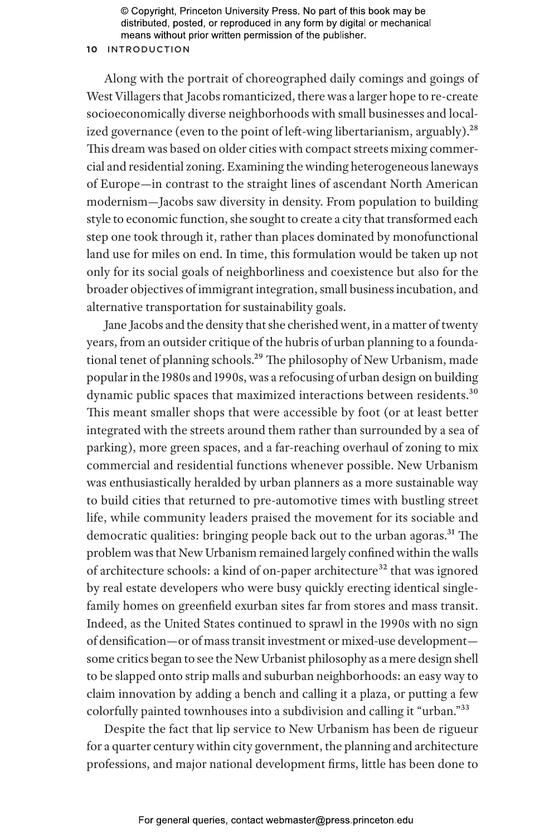## **10** Introduction

Along with the portrait of choreographed daily comings and goings of West Villagers that Jacobs romanticized, there was a larger hope to re-create socioeconomically diverse neighborhoods with small businesses and localized governance (even to the point of left-wing libertarianism, arguably).<sup>28</sup> This dream was based on older cities with compact streets mixing commercial and residential zoning. Examining the winding heterogeneous laneways of Europe—in contrast to the straight lines of ascendant North American modernism—Jacobs saw diversity in density. From population to building style to economic function, she sought to create a city that transformed each step one took through it, rather than places dominated by monofunctional land use for miles on end. In time, this formulation would be taken up not only for its social goals of neighborliness and coexistence but also for the broader objectives of immigrant integration, small business incubation, and alternative transportation for sustainability goals.

Jane Jacobs and the density that she cherished went, in a matter of twenty years, from an outsider critique of the hubris of urban planning to a foundational tenet of planning schools.<sup>29</sup> The philosophy of New Urbanism, made popular in the 1980s and 1990s, was a refocusing of urban design on building dynamic public spaces that maximized interactions between residents.<sup>30</sup> This meant smaller shops that were accessible by foot (or at least better integrated with the streets around them rather than surrounded by a sea of parking), more green spaces, and a far-reaching overhaul of zoning to mix commercial and residential functions whenever possible. New Urbanism was enthusiastically heralded by urban planners as a more sustainable way to build cities that returned to pre-automotive times with bustling street life, while community leaders praised the movement for its sociable and democratic qualities: bringing people back out to the urban agoras.<sup>31</sup> The problem was that New Urbanism remained largely confined within the walls of architecture schools: a kind of on-paper architecture<sup>32</sup> that was ignored by real estate developers who were busy quickly erecting identical singlefamily homes on greenfield exurban sites far from stores and mass transit. Indeed, as the United States continued to sprawl in the 1990s with no sign of densification—or of mass transit investment or mixed-use development some critics began to see the New Urbanist philosophy as a mere design shell to be slapped onto strip malls and suburban neighborhoods: an easy way to claim innovation by adding a bench and calling it a plaza, or putting a few colorfully painted townhouses into a subdivision and calling it "urban."33

Despite the fact that lip service to New Urbanism has been de rigueur for a quarter century within city government, the planning and architecture professions, and major national development firms, little has been done to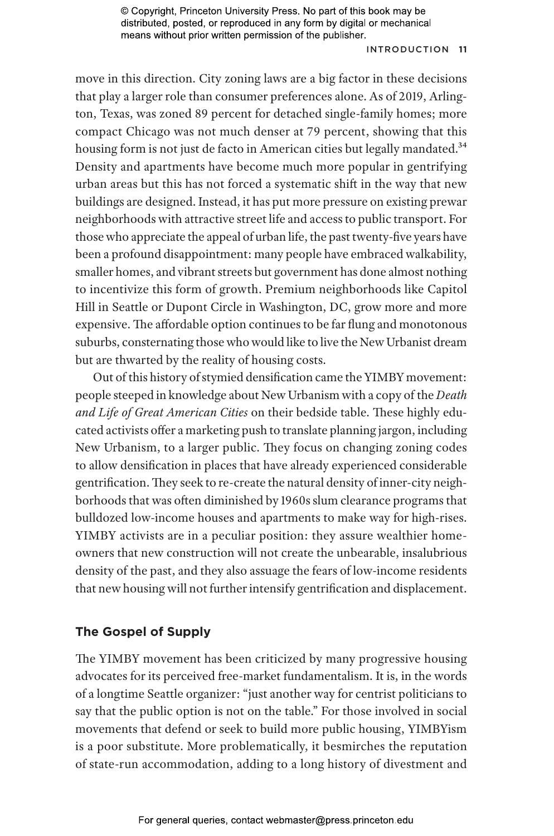## Introduction **11**

move in this direction. City zoning laws are a big factor in these decisions that play a larger role than consumer preferences alone. As of 2019, Arlington, Texas, was zoned 89 percent for detached single-family homes; more compact Chicago was not much denser at 79 percent, showing that this housing form is not just de facto in American cities but legally mandated.<sup>34</sup> Density and apartments have become much more popular in gentrifying urban areas but this has not forced a systematic shift in the way that new buildings are designed. Instead, it has put more pressure on existing prewar neighborhoods with attractive street life and access to public transport. For those who appreciate the appeal of urban life, the past twenty-five years have been a profound disappointment: many people have embraced walkability, smaller homes, and vibrant streets but government has done almost nothing to incentivize this form of growth. Premium neighborhoods like Capitol Hill in Seattle or Dupont Circle in Washington, DC, grow more and more expensive. The affordable option continues to be far flung and monotonous suburbs, consternating those who would like to live the New Urbanist dream but are thwarted by the reality of housing costs.

Out of this history of stymied densification came the YIMBY movement: people steeped in knowledge about New Urbanism with a copy of the *Death and Life of Great American Cities* on their bedside table. These highly educated activists offer a marketing push to translate planning jargon, including New Urbanism, to a larger public. They focus on changing zoning codes to allow densification in places that have already experienced considerable gentrification. They seek to re-create the natural density of inner-city neighborhoods that was often diminished by 1960s slum clearance programs that bulldozed low-income houses and apartments to make way for high-rises. YIMBY activists are in a peculiar position: they assure wealthier homeowners that new construction will not create the unbearable, insalubrious density of the past, and they also assuage the fears of low-income residents that new housing will not further intensify gentrification and displacement.

# **The Gospel of Supply**

The YIMBY movement has been criticized by many progressive housing advocates for its perceived free-market fundamentalism. It is, in the words of a longtime Seattle organizer: "just another way for centrist politicians to say that the public option is not on the table." For those involved in social movements that defend or seek to build more public housing, YIMBYism is a poor substitute. More problematically, it besmirches the reputation of state-run accommodation, adding to a long history of divestment and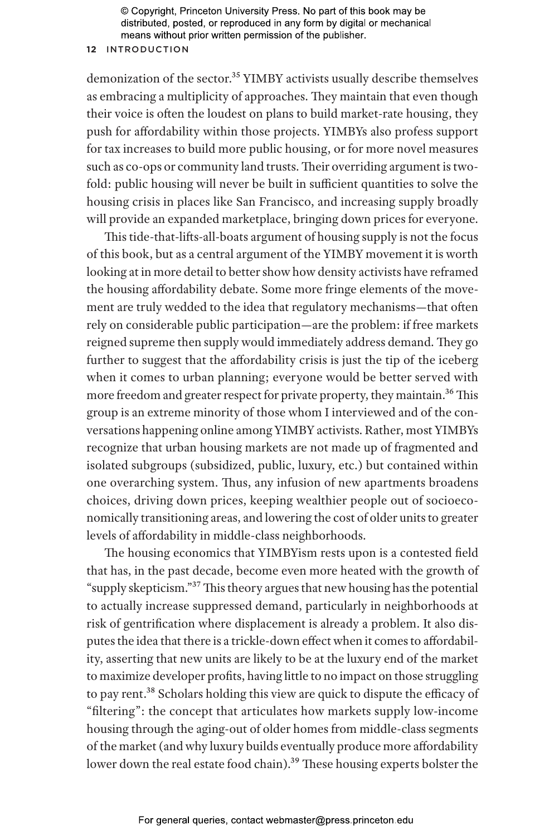## **12** Introduction

demonization of the sector.<sup>35</sup> YIMBY activists usually describe themselves as embracing a multiplicity of approaches. They maintain that even though their voice is often the loudest on plans to build market-rate housing, they push for affordability within those projects. YIMBYs also profess support for tax increases to build more public housing, or for more novel measures such as co-ops or community land trusts. Their overriding argument is twofold: public housing will never be built in sufficient quantities to solve the housing crisis in places like San Francisco, and increasing supply broadly will provide an expanded marketplace, bringing down prices for everyone.

This tide-that-lifts-all-boats argument of housing supply is not the focus of this book, but as a central argument of the YIMBY movement it is worth looking at in more detail to better show how density activists have reframed the housing affordability debate. Some more fringe elements of the movement are truly wedded to the idea that regulatory mechanisms—that often rely on considerable public participation—are the problem: if free markets reigned supreme then supply would immediately address demand. They go further to suggest that the affordability crisis is just the tip of the iceberg when it comes to urban planning; everyone would be better served with more freedom and greater respect for private property, they maintain.<sup>36</sup> This group is an extreme minority of those whom I interviewed and of the conversations happening online among YIMBY activists. Rather, most YIMBYs recognize that urban housing markets are not made up of fragmented and isolated subgroups (subsidized, public, luxury, etc.) but contained within one overarching system. Thus, any infusion of new apartments broadens choices, driving down prices, keeping wealthier people out of socioeconomically transitioning areas, and lowering the cost of older units to greater levels of affordability in middle-class neighborhoods.

The housing economics that YIMBYism rests upon is a contested field that has, in the past decade, become even more heated with the growth of "supply skepticism."37 This theory argues that new housing has the potential to actually increase suppressed demand, particularly in neighborhoods at risk of gentrification where displacement is already a problem. It also disputes the idea that there is a trickle-down effect when it comes to affordability, asserting that new units are likely to be at the luxury end of the market to maximize developer profits, having little to no impact on those struggling to pay rent.38 Scholars holding this view are quick to dispute the efficacy of "filtering": the concept that articulates how markets supply low-income housing through the aging-out of older homes from middle-class segments of the market (and why luxury builds eventually produce more affordability lower down the real estate food chain).<sup>39</sup> These housing experts bolster the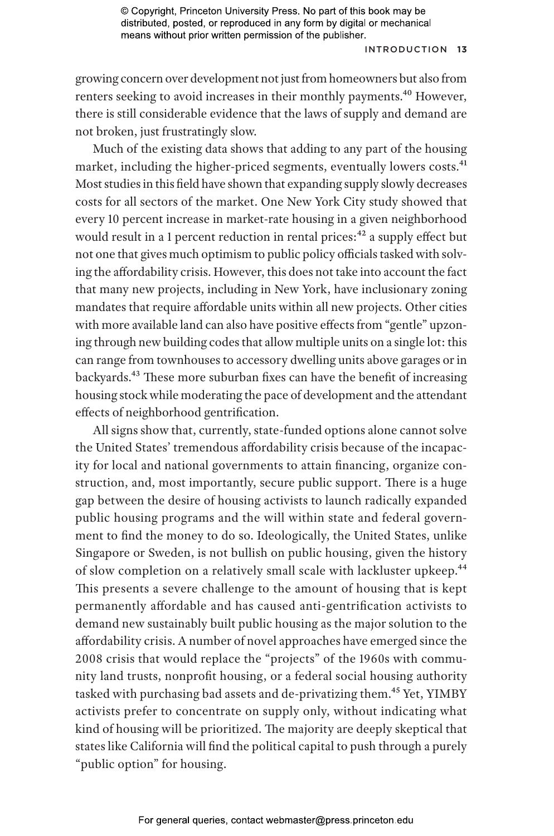### Introduction **13**

growing concern over development not just from homeowners but also from renters seeking to avoid increases in their monthly payments.<sup>40</sup> However, there is still considerable evidence that the laws of supply and demand are not broken, just frustratingly slow.

Much of the existing data shows that adding to any part of the housing market, including the higher-priced segments, eventually lowers costs.41 Most studies in this field have shown that expanding supply slowly decreases costs for all sectors of the market. One New York City study showed that every 10 percent increase in market-rate housing in a given neighborhood would result in a 1 percent reduction in rental prices:<sup>42</sup> a supply effect but not one that gives much optimism to public policy officials tasked with solving the affordability crisis. However, this does not take into account the fact that many new projects, including in New York, have inclusionary zoning mandates that require affordable units within all new projects. Other cities with more available land can also have positive effects from "gentle" upzoning through new building codes that allow multiple units on a single lot: this can range from townhouses to accessory dwelling units above garages or in backyards.43 These more suburban fixes can have the benefit of increasing housing stock while moderating the pace of development and the attendant effects of neighborhood gentrification.

All signs show that, currently, state-funded options alone cannot solve the United States' tremendous affordability crisis because of the incapacity for local and national governments to attain financing, organize construction, and, most importantly, secure public support. There is a huge gap between the desire of housing activists to launch radically expanded public housing programs and the will within state and federal government to find the money to do so. Ideologically, the United States, unlike Singapore or Sweden, is not bullish on public housing, given the history of slow completion on a relatively small scale with lackluster upkeep.<sup>44</sup> This presents a severe challenge to the amount of housing that is kept permanently affordable and has caused anti-gentrification activists to demand new sustainably built public housing as the major solution to the affordability crisis. A number of novel approaches have emerged since the 2008 crisis that would replace the "projects" of the 1960s with community land trusts, nonprofit housing, or a federal social housing authority tasked with purchasing bad assets and de-privatizing them.<sup>45</sup> Yet, YIMBY activists prefer to concentrate on supply only, without indicating what kind of housing will be prioritized. The majority are deeply skeptical that states like California will find the political capital to push through a purely "public option" for housing.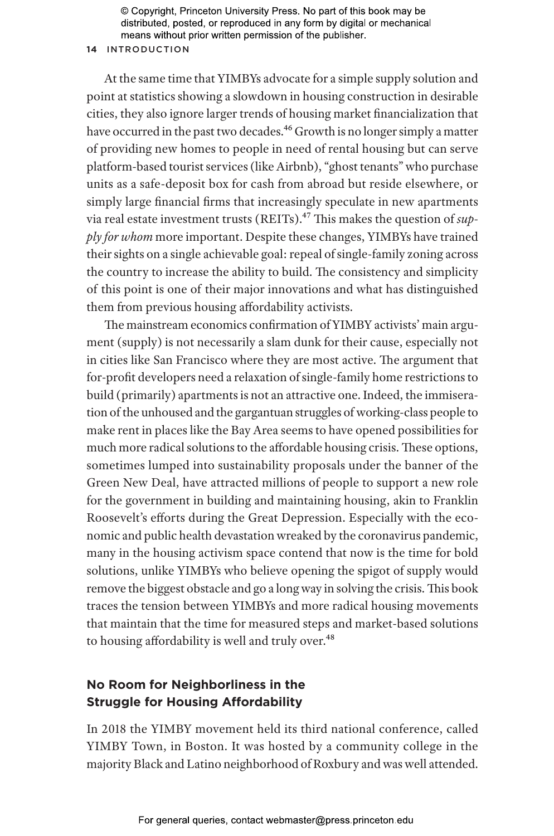## **14** Introduction

At the same time that YIMBYs advocate for a simple supply solution and point at statistics showing a slowdown in housing construction in desirable cities, they also ignore larger trends of housing market financialization that have occurred in the past two decades.<sup>46</sup> Growth is no longer simply a matter of providing new homes to people in need of rental housing but can serve platform-based tourist services (like Airbnb), "ghost tenants" who purchase units as a safe-deposit box for cash from abroad but reside elsewhere, or simply large financial firms that increasingly speculate in new apartments via real estate investment trusts (REITs).<sup>47</sup> This makes the question of *supply for whom* more important. Despite these changes, YIMBYs have trained their sights on a single achievable goal: repeal of single-family zoning across the country to increase the ability to build. The consistency and simplicity of this point is one of their major innovations and what has distinguished them from previous housing affordability activists.

The mainstream economics confirmation of YIMBY activists' main argument (supply) is not necessarily a slam dunk for their cause, especially not in cities like San Francisco where they are most active. The argument that for-profit developers need a relaxation of single-family home restrictions to build (primarily) apartments is not an attractive one. Indeed, the immiseration of the unhoused and the gargantuan struggles of working-class people to make rent in places like the Bay Area seems to have opened possibilities for much more radical solutions to the affordable housing crisis. These options, sometimes lumped into sustainability proposals under the banner of the Green New Deal, have attracted millions of people to support a new role for the government in building and maintaining housing, akin to Franklin Roosevelt's efforts during the Great Depression. Especially with the economic and public health devastation wreaked by the coronavirus pandemic, many in the housing activism space contend that now is the time for bold solutions, unlike YIMBYs who believe opening the spigot of supply would remove the biggest obstacle and go a long way in solving the crisis. This book traces the tension between YIMBYs and more radical housing movements that maintain that the time for measured steps and market-based solutions to housing affordability is well and truly over.<sup>48</sup>

# **No Room for Neighborliness in the Struggle for Housing Affordability**

In 2018 the YIMBY movement held its third national conference, called YIMBY Town, in Boston. It was hosted by a community college in the majority Black and Latino neighborhood of Roxbury and was well attended.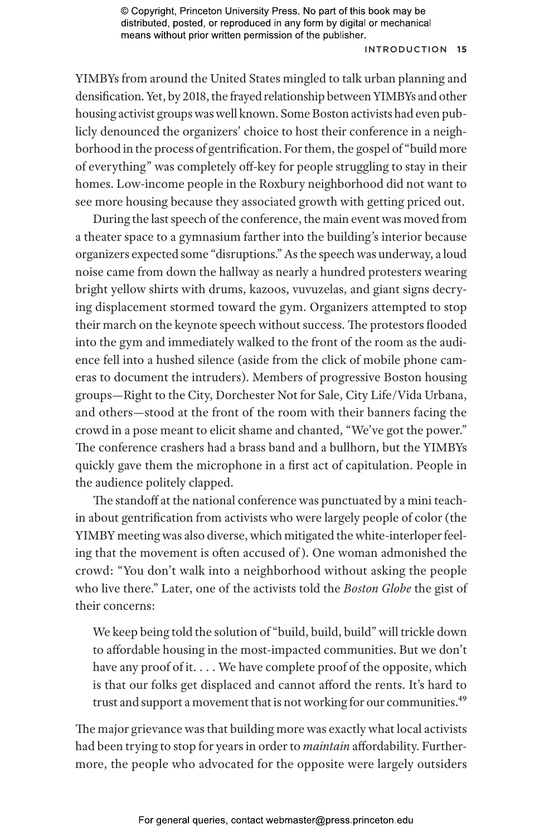#### Introduction **15**

YIMBYs from around the United States mingled to talk urban planning and densification. Yet, by 2018, the frayed relationship between YIMBYs and other housing activist groups was well known. Some Boston activists had even publicly denounced the organizers' choice to host their conference in a neighborhood in the process of gentrification. For them, the gospel of "build more of everything" was completely off-key for people struggling to stay in their homes. Low-income people in the Roxbury neighborhood did not want to see more housing because they associated growth with getting priced out.

During the last speech of the conference, the main event was moved from a theater space to a gymnasium farther into the building's interior because organizers expected some "disruptions." As the speech was underway, a loud noise came from down the hallway as nearly a hundred protesters wearing bright yellow shirts with drums, kazoos, vuvuzelas, and giant signs decrying displacement stormed toward the gym. Organizers attempted to stop their march on the keynote speech without success. The protestors flooded into the gym and immediately walked to the front of the room as the audience fell into a hushed silence (aside from the click of mobile phone cameras to document the intruders). Members of progressive Boston housing groups—Right to the City, Dorchester Not for Sale, City Life/Vida Urbana, and others—stood at the front of the room with their banners facing the crowd in a pose meant to elicit shame and chanted, "We've got the power." The conference crashers had a brass band and a bullhorn, but the YIMBYs quickly gave them the microphone in a first act of capitulation. People in the audience politely clapped.

The standoff at the national conference was punctuated by a mini teachin about gentrification from activists who were largely people of color (the YIMBY meeting was also diverse, which mitigated the white-interloper feeling that the movement is often accused of ). One woman admonished the crowd: "You don't walk into a neighborhood without asking the people who live there." Later, one of the activists told the *Boston Globe* the gist of their concerns:

We keep being told the solution of "build, build, build" will trickle down to affordable housing in the most-impacted communities. But we don't have any proof of it. . . . We have complete proof of the opposite, which is that our folks get displaced and cannot afford the rents. It's hard to trust and support a movement that is not working for our communities.<sup>49</sup>

The major grievance was that building more was exactly what local activists had been trying to stop for years in order to *maintain* affordability. Furthermore, the people who advocated for the opposite were largely outsiders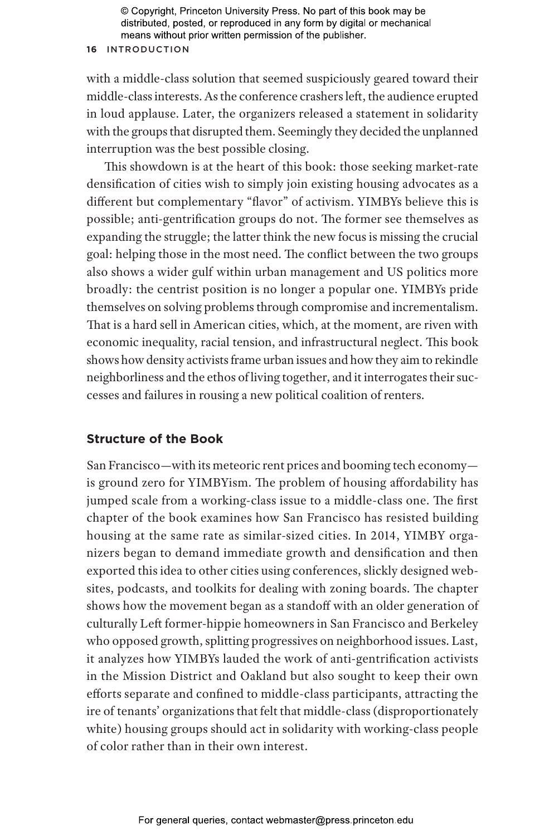# **16** Introduction

with a middle-class solution that seemed suspiciously geared toward their middle-class interests. As the conference crashers left, the audience erupted in loud applause. Later, the organizers released a statement in solidarity with the groups that disrupted them. Seemingly they decided the unplanned interruption was the best possible closing.

This showdown is at the heart of this book: those seeking market-rate densification of cities wish to simply join existing housing advocates as a different but complementary "flavor" of activism. YIMBYs believe this is possible; anti-gentrification groups do not. The former see themselves as expanding the struggle; the latter think the new focus is missing the crucial goal: helping those in the most need. The conflict between the two groups also shows a wider gulf within urban management and US politics more broadly: the centrist position is no longer a popular one. YIMBYs pride themselves on solving problems through compromise and incrementalism. That is a hard sell in American cities, which, at the moment, are riven with economic inequality, racial tension, and infrastructural neglect. This book shows how density activists frame urban issues and how they aim to rekindle neighborliness and the ethos of living together, and it interrogates their successes and failures in rousing a new political coalition of renters.

# **Structure of the Book**

San Francisco—with its meteoric rent prices and booming tech economy is ground zero for YIMBYism. The problem of housing affordability has jumped scale from a working-class issue to a middle-class one. The first chapter of the book examines how San Francisco has resisted building housing at the same rate as similar-sized cities. In 2014, YIMBY organizers began to demand immediate growth and densification and then exported this idea to other cities using conferences, slickly designed websites, podcasts, and toolkits for dealing with zoning boards. The chapter shows how the movement began as a standoff with an older generation of culturally Left former-hippie homeowners in San Francisco and Berkeley who opposed growth, splitting progressives on neighborhood issues. Last, it analyzes how YIMBYs lauded the work of anti-gentrification activists in the Mission District and Oakland but also sought to keep their own efforts separate and confined to middle-class participants, attracting the ire of tenants' organizations that felt that middle-class (disproportionately white) housing groups should act in solidarity with working-class people of color rather than in their own interest.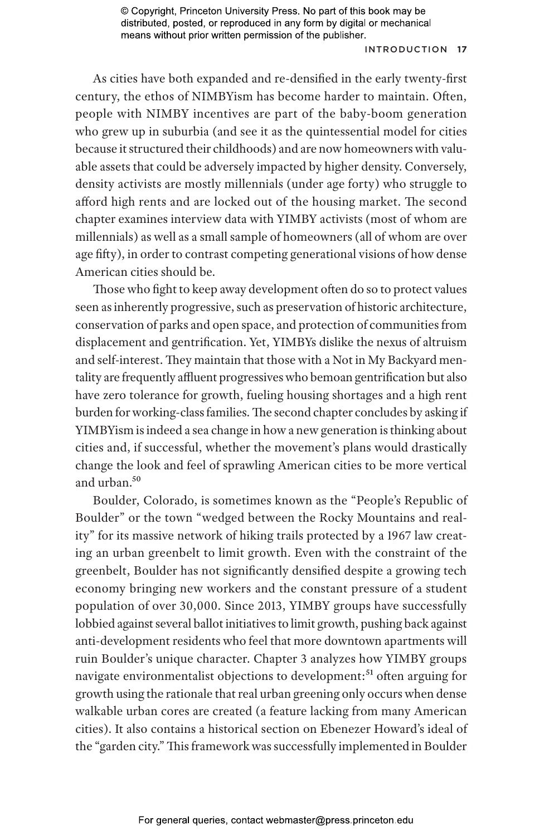#### Introduction **17**

As cities have both expanded and re-densified in the early twenty-first century, the ethos of NIMBYism has become harder to maintain. Often, people with NIMBY incentives are part of the baby-boom generation who grew up in suburbia (and see it as the quintessential model for cities because it structured their childhoods) and are now homeowners with valuable assets that could be adversely impacted by higher density. Conversely, density activists are mostly millennials (under age forty) who struggle to afford high rents and are locked out of the housing market. The second chapter examines interview data with YIMBY activists (most of whom are millennials) as well as a small sample of homeowners (all of whom are over age fifty), in order to contrast competing generational visions of how dense American cities should be.

Those who fight to keep away development often do so to protect values seen as inherently progressive, such as preservation of historic architecture, conservation of parks and open space, and protection of communities from displacement and gentrification. Yet, YIMBYs dislike the nexus of altruism and self-interest. They maintain that those with a Not in My Backyard mentality are frequently affluent progressives who bemoan gentrification but also have zero tolerance for growth, fueling housing shortages and a high rent burden for working-class families. The second chapter concludes by asking if YIMBYism is indeed a sea change in how a new generation is thinking about cities and, if successful, whether the movement's plans would drastically change the look and feel of sprawling American cities to be more vertical and urban.50

Boulder, Colorado, is sometimes known as the "People's Republic of Boulder" or the town "wedged between the Rocky Mountains and reality" for its massive network of hiking trails protected by a 1967 law creating an urban greenbelt to limit growth. Even with the constraint of the greenbelt, Boulder has not significantly densified despite a growing tech economy bringing new workers and the constant pressure of a student population of over 30,000. Since 2013, YIMBY groups have successfully lobbied against several ballot initiatives to limit growth, pushing back against anti-development residents who feel that more downtown apartments will ruin Boulder's unique character. Chapter 3 analyzes how YIMBY groups navigate environmentalist objections to development:<sup>51</sup> often arguing for growth using the rationale that real urban greening only occurs when dense walkable urban cores are created (a feature lacking from many American cities). It also contains a historical section on Ebenezer Howard's ideal of the "garden city." This framework was successfully implemented in Boulder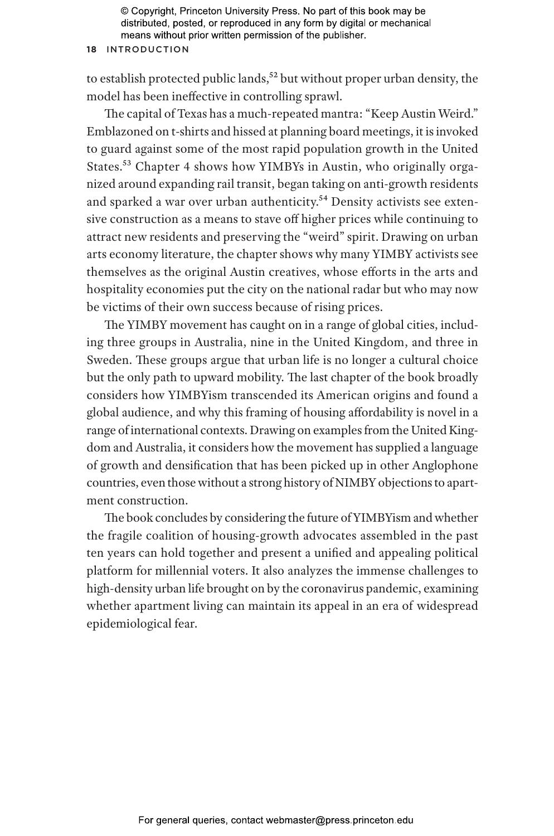#### **18** Introduction

to establish protected public lands,<sup>52</sup> but without proper urban density, the model has been ineffective in controlling sprawl.

The capital of Texas has a much-repeated mantra: "Keep Austin Weird." Emblazoned on t-shirts and hissed at planning board meetings, it is invoked to guard against some of the most rapid population growth in the United States.<sup>53</sup> Chapter 4 shows how YIMBYs in Austin, who originally organized around expanding rail transit, began taking on anti-growth residents and sparked a war over urban authenticity.<sup>54</sup> Density activists see extensive construction as a means to stave off higher prices while continuing to attract new residents and preserving the "weird" spirit. Drawing on urban arts economy literature, the chapter shows why many YIMBY activists see themselves as the original Austin creatives, whose efforts in the arts and hospitality economies put the city on the national radar but who may now be victims of their own success because of rising prices.

The YIMBY movement has caught on in a range of global cities, including three groups in Australia, nine in the United Kingdom, and three in Sweden. These groups argue that urban life is no longer a cultural choice but the only path to upward mobility. The last chapter of the book broadly considers how YIMBYism transcended its American origins and found a global audience, and why this framing of housing affordability is novel in a range of international contexts. Drawing on examples from the United Kingdom and Australia, it considers how the movement has supplied a language of growth and densification that has been picked up in other Anglophone countries, even those without a strong history of NIMBY objections to apartment construction.

The book concludes by considering the future of YIMBYism and whether the fragile coalition of housing-growth advocates assembled in the past ten years can hold together and present a unified and appealing political platform for millennial voters. It also analyzes the immense challenges to high-density urban life brought on by the coronavirus pandemic, examining whether apartment living can maintain its appeal in an era of widespread epidemiological fear.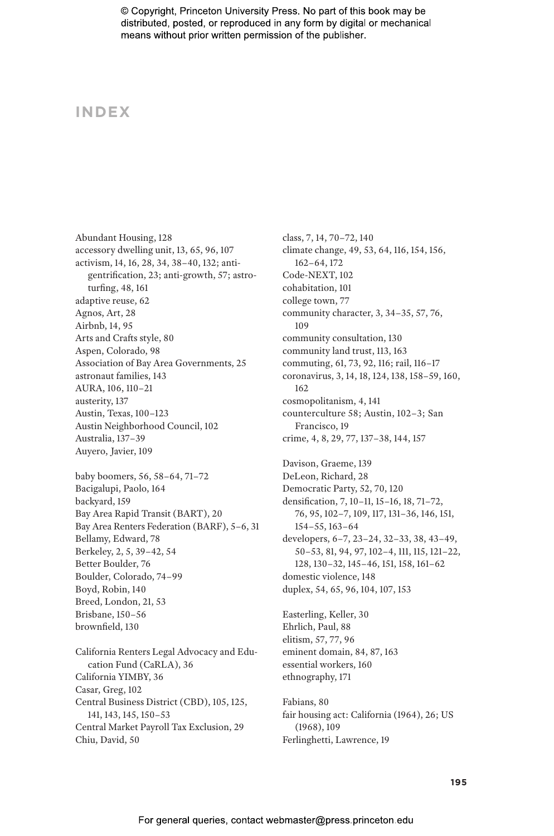# **INDEX**

Abundant Housing, 128 accessory dwelling unit, 13, 65, 96, 107 activism, 14, 16, 28, 34, 38–40, 132; antigentrification, 23; anti-growth, 57; astroturfing, 48, 161 adaptive reuse, 62 Agnos, Art, 28 Airbnb, 14, 95 Arts and Crafts style, 80 Aspen, Colorado, 98 Association of Bay Area Governments, 25 astronaut families, 143 AURA, 106, 110–21 austerity, 137 Austin, Texas, 100–123 Austin Neighborhood Council, 102 Australia, 137–39 Auyero, Javier, 109 baby boomers, 56, 58–64, 71–72 Bacigalupi, Paolo, 164 backyard, 159 Bay Area Rapid Transit (BART), 20 Bay Area Renters Federation (BARF), 5–6, 31 Bellamy, Edward, 78 Berkeley, 2, 5, 39–42, 54 Better Boulder, 76 Boulder, Colorado, 74–99 Boyd, Robin, 140 Breed, London, 21, 53 Brisbane, 150–56 brownfield, 130

California Renters Legal Advocacy and Education Fund (CaRLA), 36 California YIMBY, 36 Casar, Greg, 102 Central Business District (CBD), 105, 125, 141, 143, 145, 150–53 Central Market Payroll Tax Exclusion, 29 Chiu, David, 50

class, 7, 14, 70–72, 140 climate change, 49, 53, 64, 116, 154, 156, 162–64, 172 Code-NEXT, 102 cohabitation, 101 college town, 77 community character, 3, 34–35, 57, 76, 109 community consultation, 130 community land trust, 113, 163 commuting, 61, 73, 92, 116; rail, 116–17 coronavirus, 3, 14, 18, 124, 138, 158–59, 160, 162 cosmopolitanism, 4, 141 counterculture 58; Austin, 102–3; San Francisco, 19 crime, 4, 8, 29, 77, 137–38, 144, 157 Davison, Graeme, 139 DeLeon, Richard, 28 Democratic Party, 52, 70, 120 densification, 7, 10–11, 15–16, 18, 71–72, 76, 95, 102–7, 109, 117, 131–36, 146, 151, 154–55, 163–64 developers, 6–7, 23–24, 32–33, 38, 43–49, 50–53, 81, 94, 97, 102–4, 111, 115, 121–22, 128, 130–32, 145–46, 151, 158, 161–62 domestic violence, 148 duplex, 54, 65, 96, 104, 107, 153 Easterling, Keller, 30 Ehrlich, Paul, 88 elitism, 57, 77, 96

eminent domain, 84, 87, 163 essential workers, 160 ethnography, 171

Fabians, 80 fair housing act: California (1964), 26; US (1968), 109 Ferlinghetti, Lawrence, 19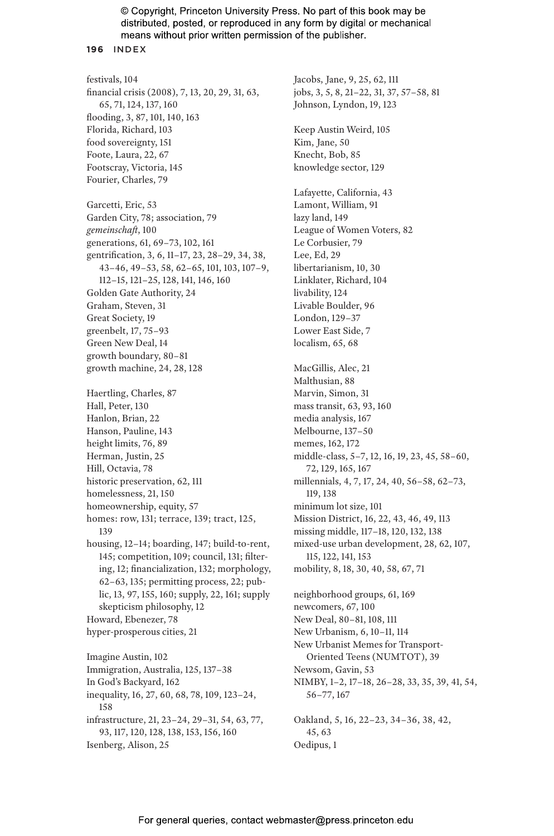#### **196** INDEX

festivals, 104 financial crisis (2008), 7, 13, 20, 29, 31, 63, 65, 71, 124, 137, 160 flooding, 3, 87, 101, 140, 163 Florida, Richard, 103 food sovereignty, 151 Foote, Laura, 22, 67 Footscray, Victoria, 145 Fourier, Charles, 79 Garcetti, Eric, 53 Garden City, 78; association, 79 *gemeinschaft*, 100 generations, 61, 69–73, 102, 161 gentrification, 3, 6, 11–17, 23, 28–29, 34, 38, 43–46, 49–53, 58, 62–65, 101, 103, 107–9, 112–15, 121–25, 128, 141, 146, 160 Golden Gate Authority, 24 Graham, Steven, 31 Great Society, 19 greenbelt, 17, 75–93 Green New Deal, 14 growth boundary, 80–81 growth machine, 24, 28, 128 Haertling, Charles, 87 Hall, Peter, 130 Hanlon, Brian, 22 Hanson, Pauline, 143 height limits, 76, 89 Herman, Justin, 25 Hill, Octavia, 78 historic preservation, 62, 111 homelessness, 21, 150 homeownership, equity, 57 homes: row, 131; terrace, 139; tract, 125, 139 housing, 12–14; boarding, 147; build-to-rent, 145; competition, 109; council, 131; filtering, 12; financialization, 132; morphology, 62–63, 135; permitting process, 22; public, 13, 97, 155, 160; supply, 22, 161; supply skepticism philosophy, 12 Howard, Ebenezer, 78 hyper-prosperous cities, 21 Imagine Austin, 102 Immigration, Australia, 125, 137–38 In God's Backyard, 162 inequality, 16, 27, 60, 68, 78, 109, 123–24, 158 infrastructure, 21, 23–24, 29–31, 54, 63, 77, 93, 117, 120, 128, 138, 153, 156, 160 Isenberg, Alison, 25

Jacobs, Jane, 9, 25, 62, 111 jobs, 3, 5, 8, 21–22, 31, 37, 57–58, 81 Johnson, Lyndon, 19, 123 Keep Austin Weird, 105 Kim, Jane, 50 Knecht, Bob, 85 knowledge sector, 129 Lafayette, California, 43 Lamont, William, 91 lazy land, 149 League of Women Voters, 82 Le Corbusier, 79 Lee, Ed, 29 libertarianism, 10, 30 Linklater, Richard, 104 livability, 124 Livable Boulder, 96 London, 129–37 Lower East Side, 7 localism, 65, 68 MacGillis, Alec, 21 Malthusian, 88 Marvin, Simon, 31 mass transit, 63, 93, 160 media analysis, 167 Melbourne, 137–50 memes, 162, 172 middle-class, 5–7, 12, 16, 19, 23, 45, 58–60, 72, 129, 165, 167 millennials, 4, 7, 17, 24, 40, 56–58, 62–73, 119, 138 minimum lot size, 101 Mission District, 16, 22, 43, 46, 49, 113 missing middle, 117–18, 120, 132, 138 mixed-use urban development, 28, 62, 107, 115, 122, 141, 153 mobility, 8, 18, 30, 40, 58, 67, 71 neighborhood groups, 61, 169 newcomers, 67, 100 New Deal, 80–81, 108, 111 New Urbanism, 6, 10–11, 114 New Urbanist Memes for Transport-Oriented Teens (NUMTOT), 39 Newsom, Gavin, 53 NIMBY, 1–2, 17–18, 26–28, 33, 35, 39, 41, 54, 56–77, 167 Oakland, 5, 16, 22–23, 34–36, 38, 42, 45, 63 Oedipus, 1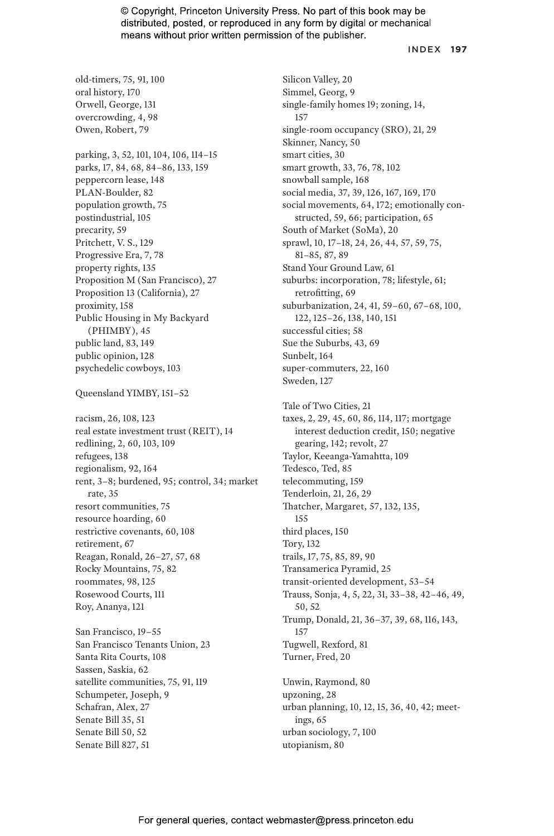#### INDEX **197**

old-timers, 75, 91, 100 oral history, 170 Orwell, George, 131 overcrowding, 4, 98 Owen, Robert, 79 parking, 3, 52, 101, 104, 106, 114–15 parks, 17, 84, 68, 84–86, 133, 159 peppercorn lease, 148 PLAN-Boulder, 82 population growth, 75 postindustrial, 105 precarity, 59 Pritchett, V. S., 129 Progressive Era, 7, 78 property rights, 135 Proposition M (San Francisco), 27 Proposition 13 (California), 27 proximity, 158 Public Housing in My Backyard (PHIMBY), 45 public land, 83, 149 public opinion, 128 psychedelic cowboys, 103 Queensland YIMBY, 151–52 racism, 26, 108, 123 real estate investment trust (REIT), 14 redlining, 2, 60, 103, 109 refugees, 138 regionalism, 92, 164 rent, 3–8; burdened, 95; control, 34; market rate, 35 resort communities, 75 resource hoarding, 60 restrictive covenants, 60, 108 retirement, 67 Reagan, Ronald, 26–27, 57, 68 Rocky Mountains, 75, 82 roommates, 98, 125 Rosewood Courts, 111 Roy, Ananya, 121 San Francisco, 19–55 San Francisco Tenants Union, 23 Santa Rita Courts, 108 Sassen, Saskia, 62 satellite communities, 75, 91, 119 Schumpeter, Joseph, 9 Schafran, Alex, 27 Senate Bill 35, 51 Senate Bill 50, 52 Senate Bill 827, 51

Silicon Valley, 20 Simmel, Georg, 9 single-family homes 19; zoning, 14, 157 single-room occupancy (SRO), 21, 29 Skinner, Nancy, 50 smart cities, 30 smart growth, 33, 76, 78, 102 snowball sample, 168 social media, 37, 39, 126, 167, 169, 170 social movements, 64, 172; emotionally constructed, 59, 66; participation, 65 South of Market (SoMa), 20 sprawl, 10, 17–18, 24, 26, 44, 57, 59, 75, 81–85, 87, 89 Stand Your Ground Law, 61 suburbs: incorporation, 78; lifestyle, 61; retrofitting, 69 suburbanization, 24, 41, 59–60, 67–68, 100, 122, 125–26, 138, 140, 151 successful cities; 58 Sue the Suburbs, 43, 69 Sunbelt, 164 super-commuters, 22, 160 Sweden, 127 Tale of Two Cities, 21 taxes, 2, 29, 45, 60, 86, 114, 117; mortgage interest deduction credit, 150; negative gearing, 142; revolt, 27 Taylor, Keeanga-Yamahtta, 109 Tedesco, Ted, 85 telecommuting, 159 Tenderloin, 21, 26, 29 Thatcher, Margaret, 57, 132, 135, 155 third places, 150 Tory, 132 trails, 17, 75, 85, 89, 90 Transamerica Pyramid, 25 transit-oriented development, 53–54 Trauss, Sonja, 4, 5, 22, 31, 33–38, 42–46, 49, 50, 52 Trump, Donald, 21, 36–37, 39, 68, 116, 143, 157 Tugwell, Rexford, 81 Turner, Fred, 20 Unwin, Raymond, 80 upzoning, 28 urban planning, 10, 12, 15, 36, 40, 42; meetings, 65 urban sociology, 7, 100 utopianism, 80